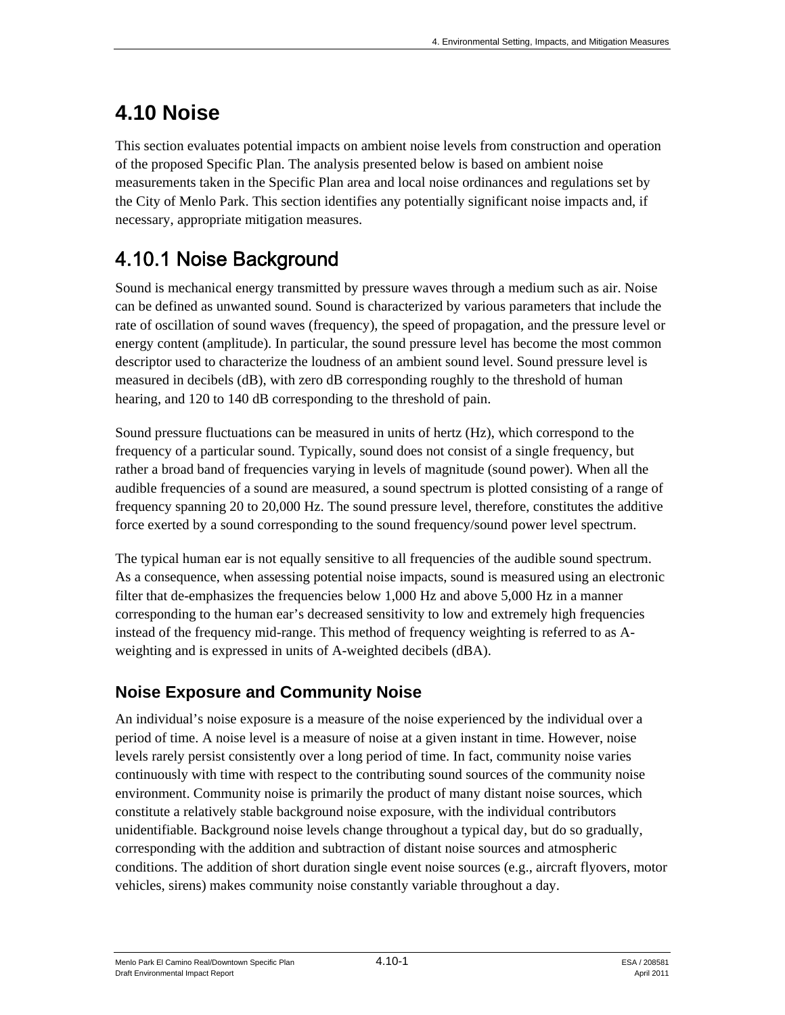# **4.10 Noise**

This section evaluates potential impacts on ambient noise levels from construction and operation of the proposed Specific Plan. The analysis presented below is based on ambient noise measurements taken in the Specific Plan area and local noise ordinances and regulations set by the City of Menlo Park. This section identifies any potentially significant noise impacts and, if necessary, appropriate mitigation measures.

## 4.10.1 Noise Background

Sound is mechanical energy transmitted by pressure waves through a medium such as air. Noise can be defined as unwanted sound. Sound is characterized by various parameters that include the rate of oscillation of sound waves (frequency), the speed of propagation, and the pressure level or energy content (amplitude). In particular, the sound pressure level has become the most common descriptor used to characterize the loudness of an ambient sound level. Sound pressure level is measured in decibels (dB), with zero dB corresponding roughly to the threshold of human hearing, and 120 to 140 dB corresponding to the threshold of pain.

Sound pressure fluctuations can be measured in units of hertz (Hz), which correspond to the frequency of a particular sound. Typically, sound does not consist of a single frequency, but rather a broad band of frequencies varying in levels of magnitude (sound power). When all the audible frequencies of a sound are measured, a sound spectrum is plotted consisting of a range of frequency spanning 20 to 20,000 Hz. The sound pressure level, therefore, constitutes the additive force exerted by a sound corresponding to the sound frequency/sound power level spectrum.

The typical human ear is not equally sensitive to all frequencies of the audible sound spectrum. As a consequence, when assessing potential noise impacts, sound is measured using an electronic filter that de-emphasizes the frequencies below 1,000 Hz and above 5,000 Hz in a manner corresponding to the human ear's decreased sensitivity to low and extremely high frequencies instead of the frequency mid-range. This method of frequency weighting is referred to as Aweighting and is expressed in units of A-weighted decibels (dBA).

## **Noise Exposure and Community Noise**

An individual's noise exposure is a measure of the noise experienced by the individual over a period of time. A noise level is a measure of noise at a given instant in time. However, noise levels rarely persist consistently over a long period of time. In fact, community noise varies continuously with time with respect to the contributing sound sources of the community noise environment. Community noise is primarily the product of many distant noise sources, which constitute a relatively stable background noise exposure, with the individual contributors unidentifiable. Background noise levels change throughout a typical day, but do so gradually, corresponding with the addition and subtraction of distant noise sources and atmospheric conditions. The addition of short duration single event noise sources (e.g., aircraft flyovers, motor vehicles, sirens) makes community noise constantly variable throughout a day.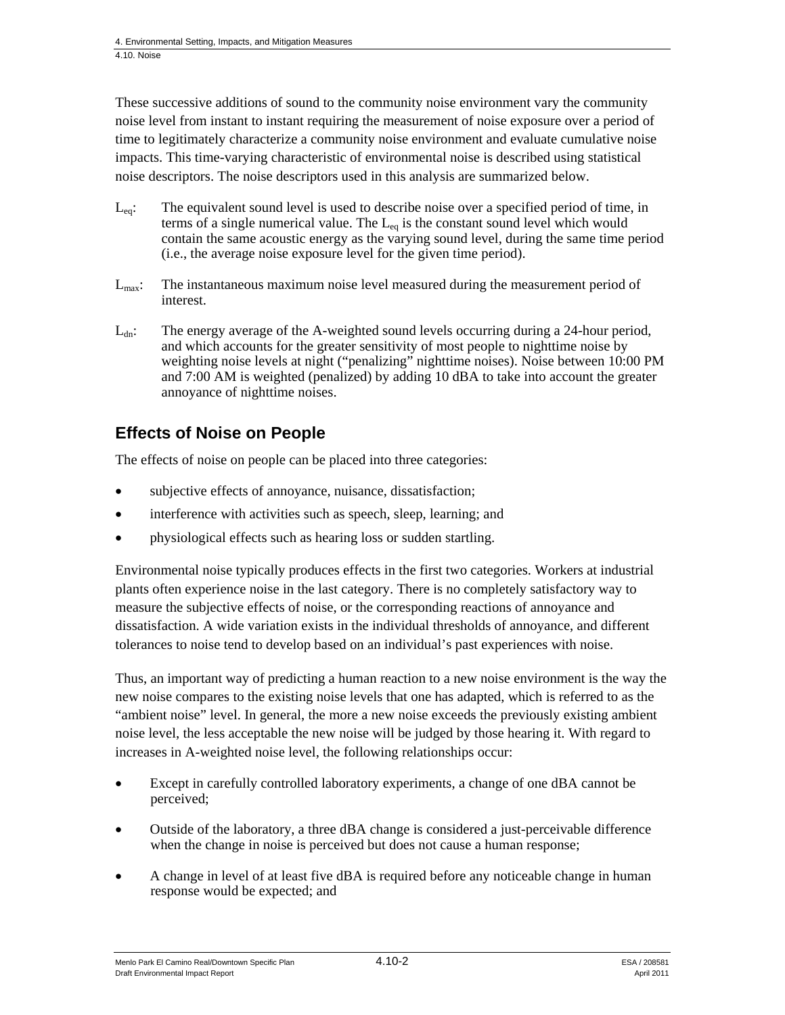These successive additions of sound to the community noise environment vary the community noise level from instant to instant requiring the measurement of noise exposure over a period of time to legitimately characterize a community noise environment and evaluate cumulative noise impacts. This time-varying characteristic of environmental noise is described using statistical noise descriptors. The noise descriptors used in this analysis are summarized below.

- $L_{eq}$ : The equivalent sound level is used to describe noise over a specified period of time, in terms of a single numerical value. The  $L_{eq}$  is the constant sound level which would contain the same acoustic energy as the varying sound level, during the same time period (i.e., the average noise exposure level for the given time period).
- L<sub>max</sub>: The instantaneous maximum noise level measured during the measurement period of interest.
- $L_{dn}$ : The energy average of the A-weighted sound levels occurring during a 24-hour period, and which accounts for the greater sensitivity of most people to nighttime noise by weighting noise levels at night ("penalizing" nighttime noises). Noise between 10:00 PM and 7:00 AM is weighted (penalized) by adding 10 dBA to take into account the greater annoyance of nighttime noises.

### **Effects of Noise on People**

The effects of noise on people can be placed into three categories:

- subjective effects of annoyance, nuisance, dissatisfaction;
- interference with activities such as speech, sleep, learning; and
- physiological effects such as hearing loss or sudden startling.

Environmental noise typically produces effects in the first two categories. Workers at industrial plants often experience noise in the last category. There is no completely satisfactory way to measure the subjective effects of noise, or the corresponding reactions of annoyance and dissatisfaction. A wide variation exists in the individual thresholds of annoyance, and different tolerances to noise tend to develop based on an individual's past experiences with noise.

Thus, an important way of predicting a human reaction to a new noise environment is the way the new noise compares to the existing noise levels that one has adapted, which is referred to as the "ambient noise" level. In general, the more a new noise exceeds the previously existing ambient noise level, the less acceptable the new noise will be judged by those hearing it. With regard to increases in A-weighted noise level, the following relationships occur:

- Except in carefully controlled laboratory experiments, a change of one dBA cannot be perceived;
- Outside of the laboratory, a three dBA change is considered a just-perceivable difference when the change in noise is perceived but does not cause a human response;
- A change in level of at least five dBA is required before any noticeable change in human response would be expected; and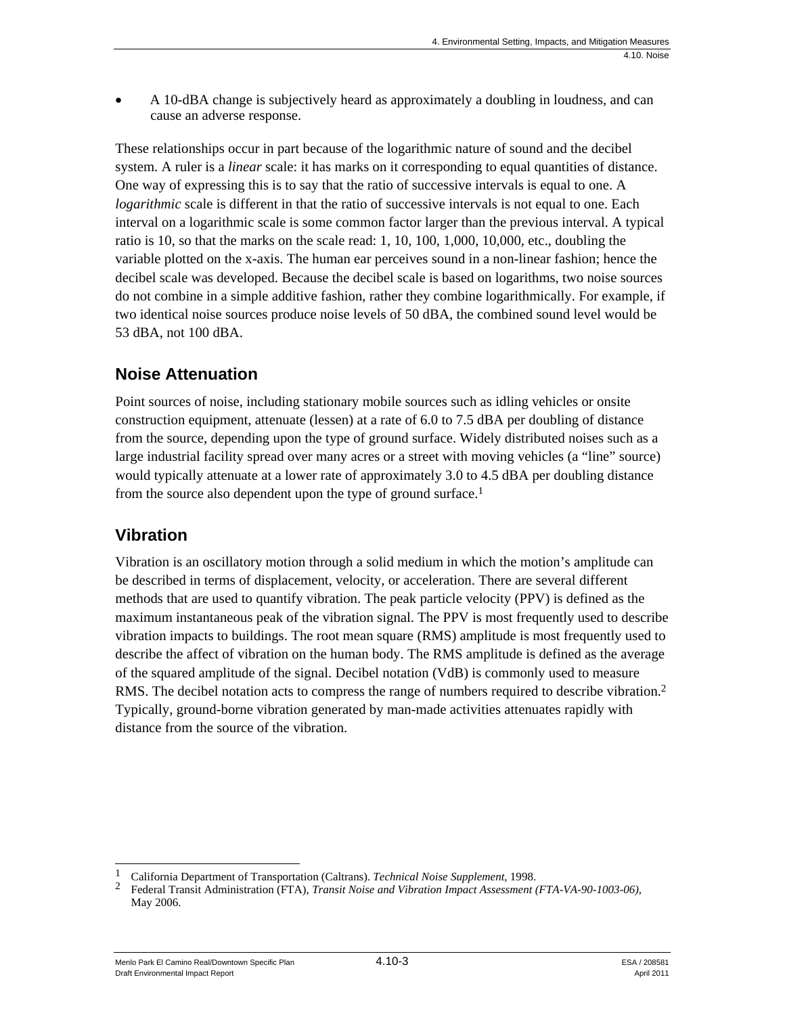A 10-dBA change is subjectively heard as approximately a doubling in loudness, and can cause an adverse response.

These relationships occur in part because of the logarithmic nature of sound and the decibel system. A ruler is a *linear* scale: it has marks on it corresponding to equal quantities of distance. One way of expressing this is to say that the ratio of successive intervals is equal to one. A *logarithmic* scale is different in that the ratio of successive intervals is not equal to one. Each interval on a logarithmic scale is some common factor larger than the previous interval. A typical ratio is 10, so that the marks on the scale read: 1, 10, 100, 1,000, 10,000, etc., doubling the variable plotted on the x-axis. The human ear perceives sound in a non-linear fashion; hence the decibel scale was developed. Because the decibel scale is based on logarithms, two noise sources do not combine in a simple additive fashion, rather they combine logarithmically. For example, if two identical noise sources produce noise levels of 50 dBA, the combined sound level would be 53 dBA, not 100 dBA.

### **Noise Attenuation**

Point sources of noise, including stationary mobile sources such as idling vehicles or onsite construction equipment, attenuate (lessen) at a rate of 6.0 to 7.5 dBA per doubling of distance from the source, depending upon the type of ground surface. Widely distributed noises such as a large industrial facility spread over many acres or a street with moving vehicles (a "line" source) would typically attenuate at a lower rate of approximately 3.0 to 4.5 dBA per doubling distance from the source also dependent upon the type of ground surface.<sup>1</sup>

#### **Vibration**

Vibration is an oscillatory motion through a solid medium in which the motion's amplitude can be described in terms of displacement, velocity, or acceleration. There are several different methods that are used to quantify vibration. The peak particle velocity (PPV) is defined as the maximum instantaneous peak of the vibration signal. The PPV is most frequently used to describe vibration impacts to buildings. The root mean square (RMS) amplitude is most frequently used to describe the affect of vibration on the human body. The RMS amplitude is defined as the average of the squared amplitude of the signal. Decibel notation (VdB) is commonly used to measure RMS. The decibel notation acts to compress the range of numbers required to describe vibration.<sup>2</sup> Typically, ground-borne vibration generated by man-made activities attenuates rapidly with distance from the source of the vibration.

 $\overline{\phantom{a}}$ 1 California Department of Transportation (Caltrans). *Technical Noise Supplement*, 1998.

<sup>2</sup> Federal Transit Administration (FTA), *Transit Noise and Vibration Impact Assessment (FTA-VA-90-1003-06)*, May 2006.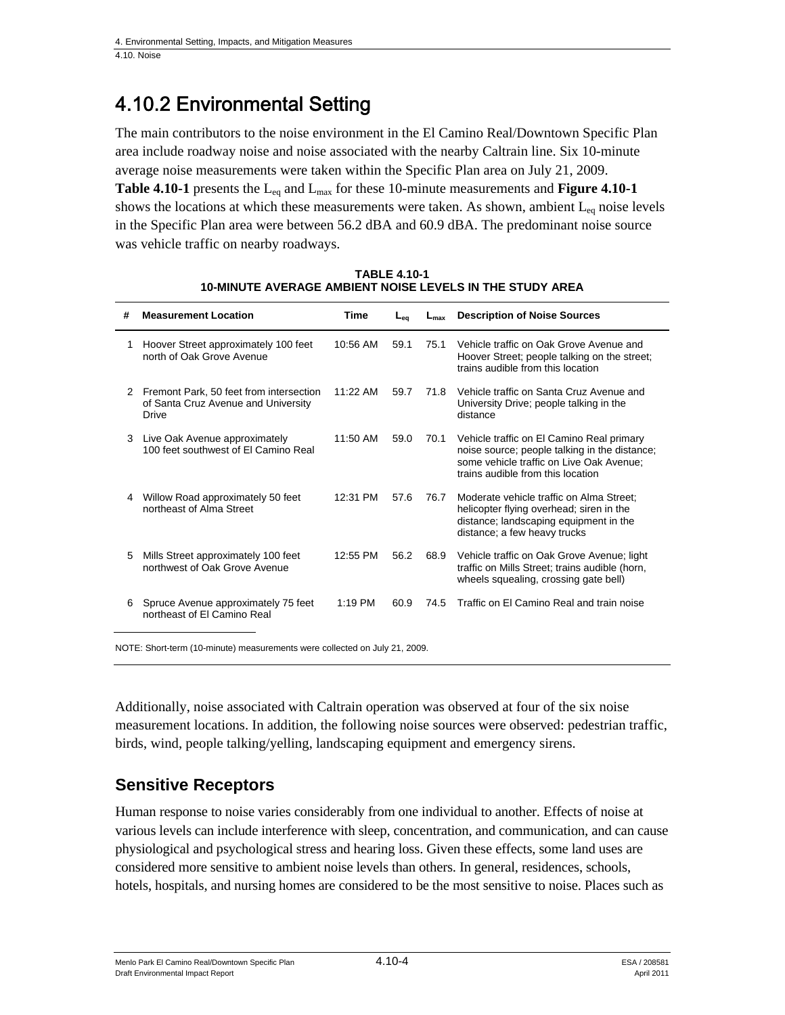## 4.10.2 Environmental Setting

The main contributors to the noise environment in the El Camino Real/Downtown Specific Plan area include roadway noise and noise associated with the nearby Caltrain line. Six 10-minute average noise measurements were taken within the Specific Plan area on July 21, 2009. Table 4.10-1 presents the L<sub>eq</sub> and L<sub>max</sub> for these 10-minute measurements and **Figure 4.10-1** shows the locations at which these measurements were taken. As shown, ambient  $L_{eq}$  noise levels in the Specific Plan area were between 56.2 dBA and 60.9 dBA. The predominant noise source was vehicle traffic on nearby roadways.

| # | <b>Measurement Location</b>                                                             | Time      | $L_{eq}$ | $L_{\text{max}}$ | <b>Description of Noise Sources</b>                                                                                                                                         |
|---|-----------------------------------------------------------------------------------------|-----------|----------|------------------|-----------------------------------------------------------------------------------------------------------------------------------------------------------------------------|
| 1 | Hoover Street approximately 100 feet<br>north of Oak Grove Avenue                       | 10:56 AM  | 59.1     | 75.1             | Vehicle traffic on Oak Grove Avenue and<br>Hoover Street; people talking on the street;<br>trains audible from this location                                                |
| 2 | Fremont Park, 50 feet from intersection<br>of Santa Cruz Avenue and University<br>Drive | 11:22 AM  | 59.7     | 71.8             | Vehicle traffic on Santa Cruz Avenue and<br>University Drive; people talking in the<br>distance                                                                             |
| 3 | Live Oak Avenue approximately<br>100 feet southwest of El Camino Real                   | 11:50 AM  | 59.0     | 70.1             | Vehicle traffic on El Camino Real primary<br>noise source; people talking in the distance;<br>some vehicle traffic on Live Oak Avenue;<br>trains audible from this location |
| 4 | Willow Road approximately 50 feet<br>northeast of Alma Street                           | 12:31 PM  | 57.6     | 76.7             | Moderate vehicle traffic on Alma Street:<br>helicopter flying overhead; siren in the<br>distance; landscaping equipment in the<br>distance; a few heavy trucks              |
| 5 | Mills Street approximately 100 feet<br>northwest of Oak Grove Avenue                    | 12:55 PM  | 56.2     | 68.9             | Vehicle traffic on Oak Grove Avenue; light<br>traffic on Mills Street; trains audible (horn,<br>wheels squealing, crossing gate bell)                                       |
| 6 | Spruce Avenue approximately 75 feet<br>northeast of El Camino Real                      | $1:19$ PM | 60.9     | 74.5             | Traffic on El Camino Real and train noise                                                                                                                                   |

**TABLE 4.10-1 10-MINUTE AVERAGE AMBIENT NOISE LEVELS IN THE STUDY AREA** 

NOTE: Short-term (10-minute) measurements were collected on July 21, 2009.

Additionally, noise associated with Caltrain operation was observed at four of the six noise measurement locations. In addition, the following noise sources were observed: pedestrian traffic, birds, wind, people talking/yelling, landscaping equipment and emergency sirens.

### **Sensitive Receptors**

Human response to noise varies considerably from one individual to another. Effects of noise at various levels can include interference with sleep, concentration, and communication, and can cause physiological and psychological stress and hearing loss. Given these effects, some land uses are considered more sensitive to ambient noise levels than others. In general, residences, schools, hotels, hospitals, and nursing homes are considered to be the most sensitive to noise. Places such as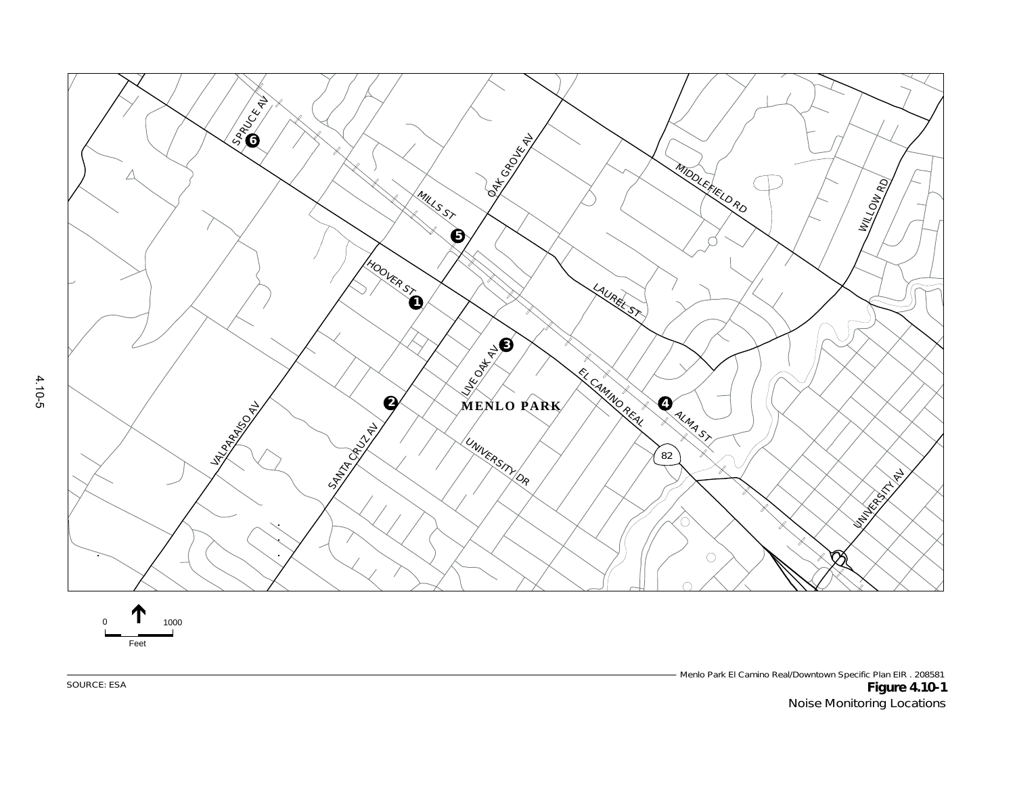



Menlo Park El Camino Real/Downtown Specific Plan EIR . 208581<br>**Figure 4.10-1** SOURCE: ESA **Figure 4.10-1** Noise Monitoring Locations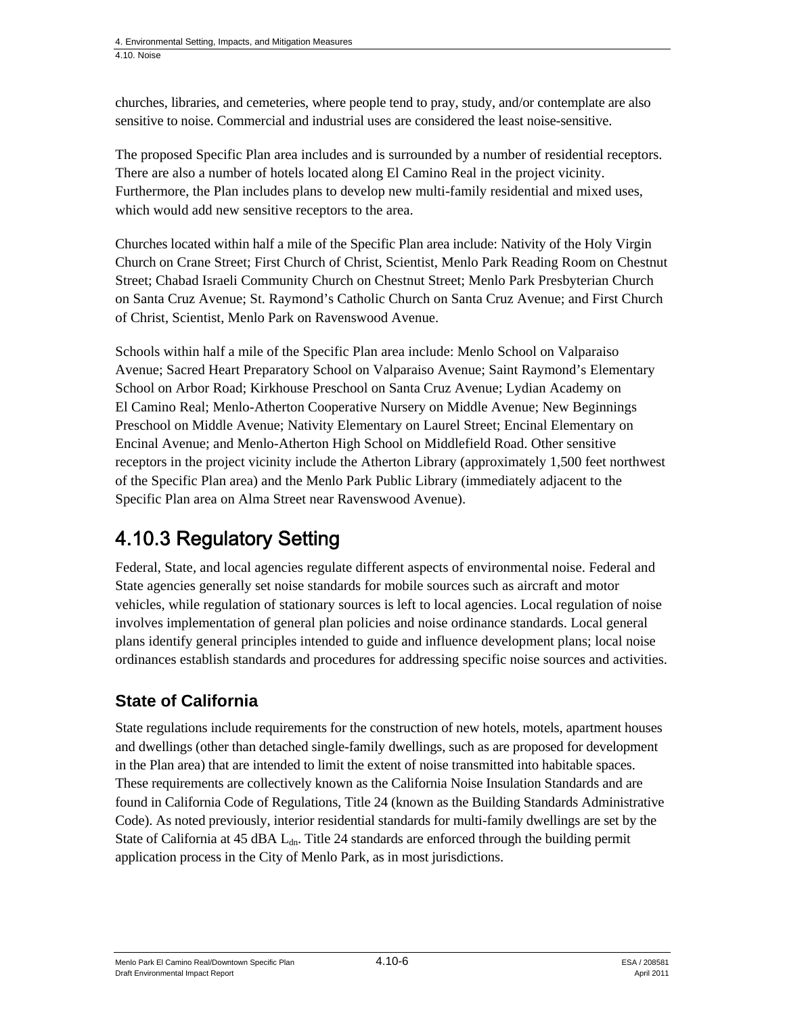churches, libraries, and cemeteries, where people tend to pray, study, and/or contemplate are also sensitive to noise. Commercial and industrial uses are considered the least noise-sensitive.

The proposed Specific Plan area includes and is surrounded by a number of residential receptors. There are also a number of hotels located along El Camino Real in the project vicinity. Furthermore, the Plan includes plans to develop new multi-family residential and mixed uses, which would add new sensitive receptors to the area.

Churches located within half a mile of the Specific Plan area include: Nativity of the Holy Virgin Church on Crane Street; First Church of Christ, Scientist, Menlo Park Reading Room on Chestnut Street; Chabad Israeli Community Church on Chestnut Street; Menlo Park Presbyterian Church on Santa Cruz Avenue; St. Raymond's Catholic Church on Santa Cruz Avenue; and First Church of Christ, Scientist, Menlo Park on Ravenswood Avenue.

Schools within half a mile of the Specific Plan area include: Menlo School on Valparaiso Avenue; Sacred Heart Preparatory School on Valparaiso Avenue; Saint Raymond's Elementary School on Arbor Road; Kirkhouse Preschool on Santa Cruz Avenue; Lydian Academy on El Camino Real; Menlo-Atherton Cooperative Nursery on Middle Avenue; New Beginnings Preschool on Middle Avenue; Nativity Elementary on Laurel Street; Encinal Elementary on Encinal Avenue; and Menlo-Atherton High School on Middlefield Road. Other sensitive receptors in the project vicinity include the Atherton Library (approximately 1,500 feet northwest of the Specific Plan area) and the Menlo Park Public Library (immediately adjacent to the Specific Plan area on Alma Street near Ravenswood Avenue).

## 4.10.3 Regulatory Setting

Federal, State, and local agencies regulate different aspects of environmental noise. Federal and State agencies generally set noise standards for mobile sources such as aircraft and motor vehicles, while regulation of stationary sources is left to local agencies. Local regulation of noise involves implementation of general plan policies and noise ordinance standards. Local general plans identify general principles intended to guide and influence development plans; local noise ordinances establish standards and procedures for addressing specific noise sources and activities.

### **State of California**

State regulations include requirements for the construction of new hotels, motels, apartment houses and dwellings (other than detached single-family dwellings, such as are proposed for development in the Plan area) that are intended to limit the extent of noise transmitted into habitable spaces. These requirements are collectively known as the California Noise Insulation Standards and are found in California Code of Regulations, Title 24 (known as the Building Standards Administrative Code). As noted previously, interior residential standards for multi-family dwellings are set by the State of California at 45 dBA L<sub>dn</sub>. Title 24 standards are enforced through the building permit application process in the City of Menlo Park, as in most jurisdictions.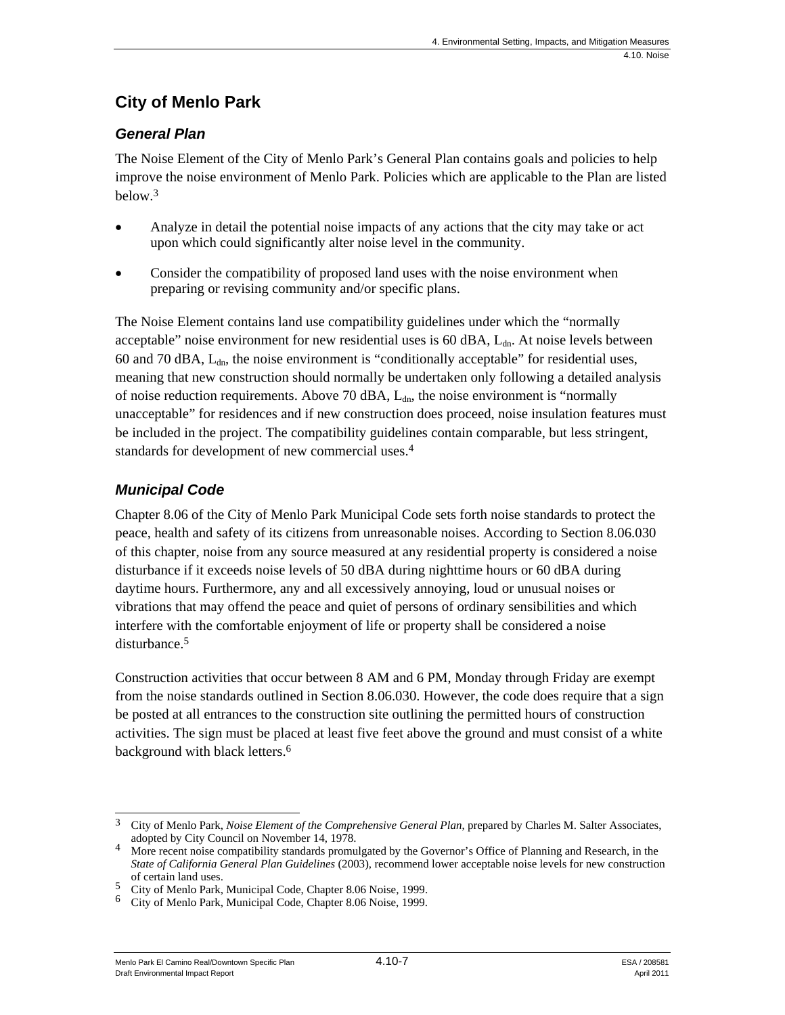### **City of Menlo Park**

#### *General Plan*

The Noise Element of the City of Menlo Park's General Plan contains goals and policies to help improve the noise environment of Menlo Park. Policies which are applicable to the Plan are listed below.3

- Analyze in detail the potential noise impacts of any actions that the city may take or act upon which could significantly alter noise level in the community.
- Consider the compatibility of proposed land uses with the noise environment when preparing or revising community and/or specific plans.

The Noise Element contains land use compatibility guidelines under which the "normally acceptable" noise environment for new residential uses is 60 dBA,  $L<sub>dr</sub>$ . At noise levels between 60 and 70 dBA,  $L_{dn}$ , the noise environment is "conditionally acceptable" for residential uses, meaning that new construction should normally be undertaken only following a detailed analysis of noise reduction requirements. Above 70 dBA,  $L_{dn}$ , the noise environment is "normally unacceptable" for residences and if new construction does proceed, noise insulation features must be included in the project. The compatibility guidelines contain comparable, but less stringent, standards for development of new commercial uses.4

#### *Municipal Code*

Chapter 8.06 of the City of Menlo Park Municipal Code sets forth noise standards to protect the peace, health and safety of its citizens from unreasonable noises. According to Section 8.06.030 of this chapter, noise from any source measured at any residential property is considered a noise disturbance if it exceeds noise levels of 50 dBA during nighttime hours or 60 dBA during daytime hours. Furthermore, any and all excessively annoying, loud or unusual noises or vibrations that may offend the peace and quiet of persons of ordinary sensibilities and which interfere with the comfortable enjoyment of life or property shall be considered a noise disturbance.<sup>5</sup>

Construction activities that occur between 8 AM and 6 PM, Monday through Friday are exempt from the noise standards outlined in Section 8.06.030. However, the code does require that a sign be posted at all entrances to the construction site outlining the permitted hours of construction activities. The sign must be placed at least five feet above the ground and must consist of a white background with black letters.<sup>6</sup>

Menlo Park El Camino Real/Downtown Specific Plan 4.10-7 4.10-7 ESA / 208581 Draft Environmental Impact Report April 2011

<sup>1</sup> 3 City of Menlo Park, *Noise Element of the Comprehensive General Plan*, prepared by Charles M. Salter Associates,

adopted by City Council on November 14, 1978. 4 More recent noise compatibility standards promulgated by the Governor's Office of Planning and Research, in the *State of California General Plan Guidelines* (2003), recommend lower acceptable noise levels for new construction of certain land uses.

<sup>5</sup> City of Menlo Park, Municipal Code, Chapter 8.06 Noise, 1999.

<sup>6</sup> City of Menlo Park, Municipal Code, Chapter 8.06 Noise, 1999.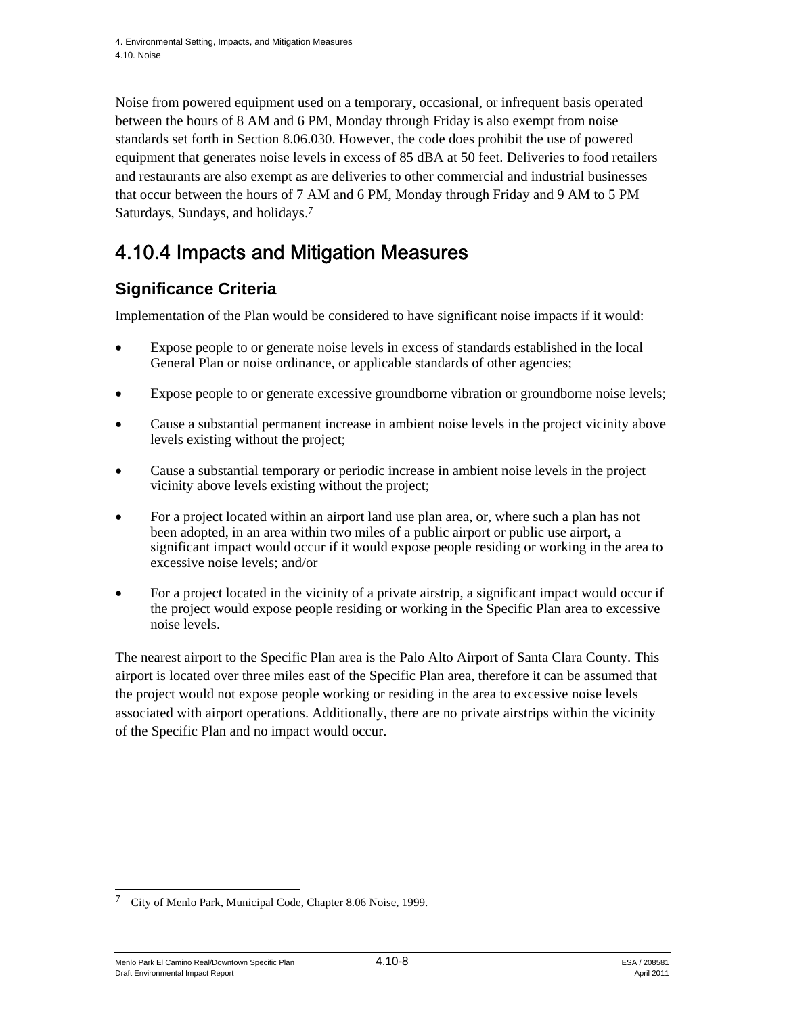Noise from powered equipment used on a temporary, occasional, or infrequent basis operated between the hours of 8 AM and 6 PM, Monday through Friday is also exempt from noise standards set forth in Section 8.06.030. However, the code does prohibit the use of powered equipment that generates noise levels in excess of 85 dBA at 50 feet. Deliveries to food retailers and restaurants are also exempt as are deliveries to other commercial and industrial businesses that occur between the hours of 7 AM and 6 PM, Monday through Friday and 9 AM to 5 PM Saturdays, Sundays, and holidays.7

## 4.10.4 Impacts and Mitigation Measures

### **Significance Criteria**

Implementation of the Plan would be considered to have significant noise impacts if it would:

- Expose people to or generate noise levels in excess of standards established in the local General Plan or noise ordinance, or applicable standards of other agencies;
- Expose people to or generate excessive groundborne vibration or groundborne noise levels;
- Cause a substantial permanent increase in ambient noise levels in the project vicinity above levels existing without the project;
- Cause a substantial temporary or periodic increase in ambient noise levels in the project vicinity above levels existing without the project;
- For a project located within an airport land use plan area, or, where such a plan has not been adopted, in an area within two miles of a public airport or public use airport, a significant impact would occur if it would expose people residing or working in the area to excessive noise levels; and/or
- For a project located in the vicinity of a private airstrip, a significant impact would occur if the project would expose people residing or working in the Specific Plan area to excessive noise levels.

The nearest airport to the Specific Plan area is the Palo Alto Airport of Santa Clara County. This airport is located over three miles east of the Specific Plan area, therefore it can be assumed that the project would not expose people working or residing in the area to excessive noise levels associated with airport operations. Additionally, there are no private airstrips within the vicinity of the Specific Plan and no impact would occur.

Menlo Park El Camino Real/Downtown Specific Plan  $4.10-8$   $4.10-8$ Draft Environmental Impact Report April 2011

<sup>1</sup> <sup>7</sup> City of Menlo Park, Municipal Code, Chapter 8.06 Noise, 1999.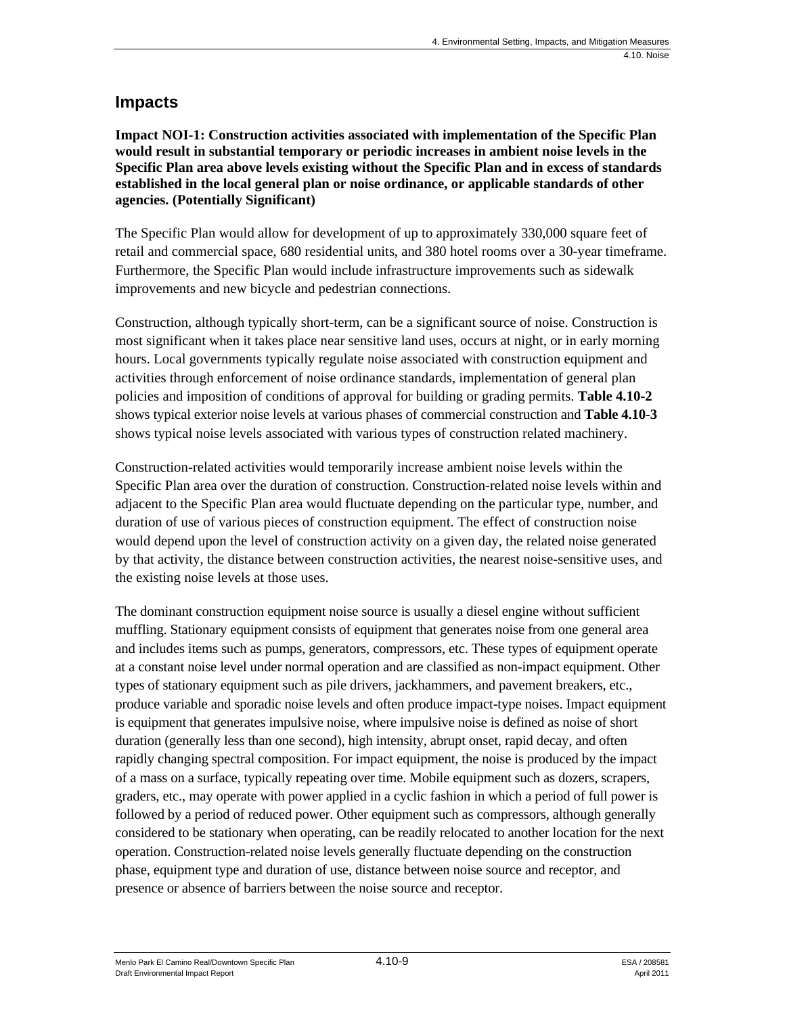#### **Impacts**

**Impact NOI-1: Construction activities associated with implementation of the Specific Plan would result in substantial temporary or periodic increases in ambient noise levels in the Specific Plan area above levels existing without the Specific Plan and in excess of standards established in the local general plan or noise ordinance, or applicable standards of other agencies. (Potentially Significant)** 

The Specific Plan would allow for development of up to approximately 330,000 square feet of retail and commercial space, 680 residential units, and 380 hotel rooms over a 30-year timeframe. Furthermore, the Specific Plan would include infrastructure improvements such as sidewalk improvements and new bicycle and pedestrian connections.

Construction, although typically short-term, can be a significant source of noise. Construction is most significant when it takes place near sensitive land uses, occurs at night, or in early morning hours. Local governments typically regulate noise associated with construction equipment and activities through enforcement of noise ordinance standards, implementation of general plan policies and imposition of conditions of approval for building or grading permits. **Table 4.10-2** shows typical exterior noise levels at various phases of commercial construction and **Table 4.10-3**  shows typical noise levels associated with various types of construction related machinery.

Construction-related activities would temporarily increase ambient noise levels within the Specific Plan area over the duration of construction. Construction-related noise levels within and adjacent to the Specific Plan area would fluctuate depending on the particular type, number, and duration of use of various pieces of construction equipment. The effect of construction noise would depend upon the level of construction activity on a given day, the related noise generated by that activity, the distance between construction activities, the nearest noise-sensitive uses, and the existing noise levels at those uses.

The dominant construction equipment noise source is usually a diesel engine without sufficient muffling. Stationary equipment consists of equipment that generates noise from one general area and includes items such as pumps, generators, compressors, etc. These types of equipment operate at a constant noise level under normal operation and are classified as non-impact equipment. Other types of stationary equipment such as pile drivers, jackhammers, and pavement breakers, etc., produce variable and sporadic noise levels and often produce impact-type noises. Impact equipment is equipment that generates impulsive noise, where impulsive noise is defined as noise of short duration (generally less than one second), high intensity, abrupt onset, rapid decay, and often rapidly changing spectral composition. For impact equipment, the noise is produced by the impact of a mass on a surface, typically repeating over time. Mobile equipment such as dozers, scrapers, graders, etc., may operate with power applied in a cyclic fashion in which a period of full power is followed by a period of reduced power. Other equipment such as compressors, although generally considered to be stationary when operating, can be readily relocated to another location for the next operation. Construction-related noise levels generally fluctuate depending on the construction phase, equipment type and duration of use, distance between noise source and receptor, and presence or absence of barriers between the noise source and receptor.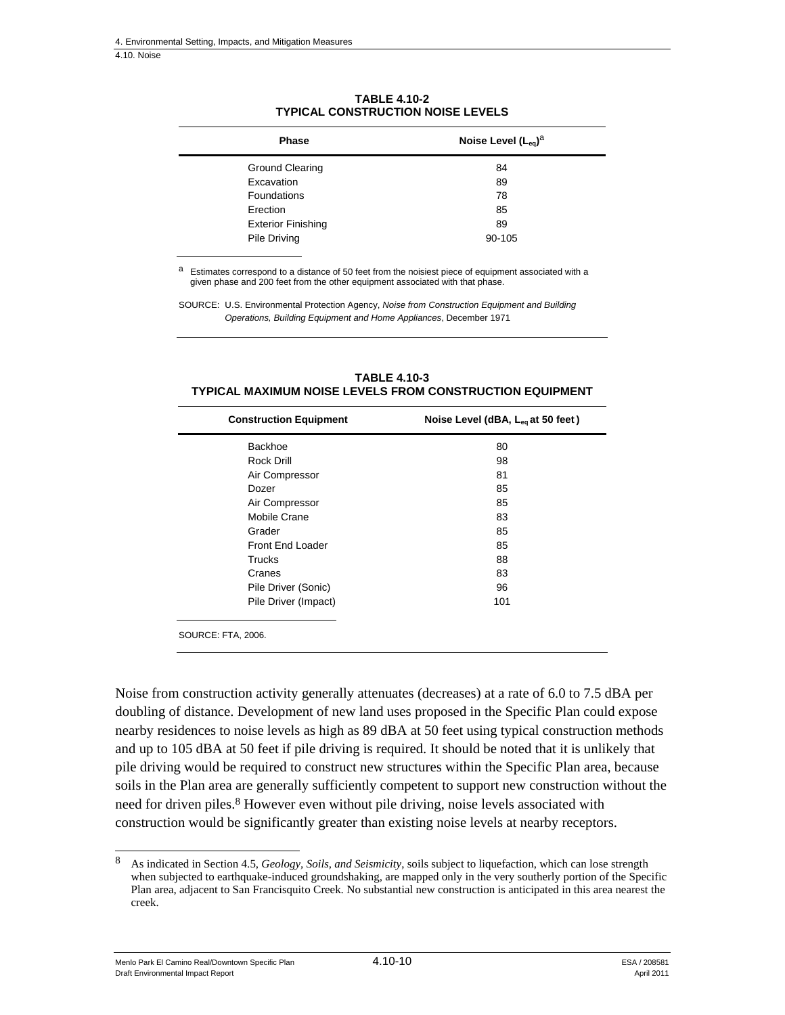4.10. Noise

| <b>Phase</b>              | Noise Level $(L_{eq})^a$ |  |  |
|---------------------------|--------------------------|--|--|
| <b>Ground Clearing</b>    | 84                       |  |  |
| Excavation                | 89                       |  |  |
| <b>Foundations</b>        | 78                       |  |  |
| Erection                  | 85                       |  |  |
| <b>Exterior Finishing</b> | 89                       |  |  |
| Pile Driving              | 90-105                   |  |  |

**TABLE 4.10-2 TYPICAL CONSTRUCTION NOISE LEVELS** 

Estimates correspond to a distance of 50 feet from the noisiest piece of equipment associated with a given phase and 200 feet from the other equipment associated with that phase.

SOURCE: U.S. Environmental Protection Agency, *Noise from Construction Equipment and Building Operations, Building Equipment and Home Appliances*, December 1971

| <b>Construction Equipment</b> | Noise Level (dBA, L <sub>eg</sub> at 50 feet) |
|-------------------------------|-----------------------------------------------|
| Backhoe                       | 80                                            |
| <b>Rock Drill</b>             | 98                                            |
| Air Compressor                | 81                                            |
| Dozer                         | 85                                            |
| Air Compressor                | 85                                            |
| Mobile Crane                  | 83                                            |
| Grader                        | 85                                            |
| Front End Loader              | 85                                            |
| <b>Trucks</b>                 | 88                                            |
| Cranes                        | 83                                            |
| Pile Driver (Sonic)           | 96                                            |
| Pile Driver (Impact)          | 101                                           |
| HIDCE-ETA 2006                |                                               |

**TABLE 4.10-3 TYPICAL MAXIMUM NOISE LEVELS FROM CONSTRUCTION EQUIPMENT** 

SOURCE: FTA, 2006.

Noise from construction activity generally attenuates (decreases) at a rate of 6.0 to 7.5 dBA per doubling of distance. Development of new land uses proposed in the Specific Plan could expose nearby residences to noise levels as high as 89 dBA at 50 feet using typical construction methods and up to 105 dBA at 50 feet if pile driving is required. It should be noted that it is unlikely that pile driving would be required to construct new structures within the Specific Plan area, because soils in the Plan area are generally sufficiently competent to support new construction without the need for driven piles.<sup>8</sup> However even without pile driving, noise levels associated with construction would be significantly greater than existing noise levels at nearby receptors.

Menlo Park El Camino Real/Downtown Specific Plan  $4.10-10$  ESA / 208581 Draft Environmental Impact Report April 2011

1

<sup>8</sup> As indicated in Section 4.5, *Geology, Soils, and Seismicity*, soils subject to liquefaction, which can lose strength when subjected to earthquake-induced groundshaking, are mapped only in the very southerly portion of the Specific Plan area, adjacent to San Francisquito Creek. No substantial new construction is anticipated in this area nearest the creek.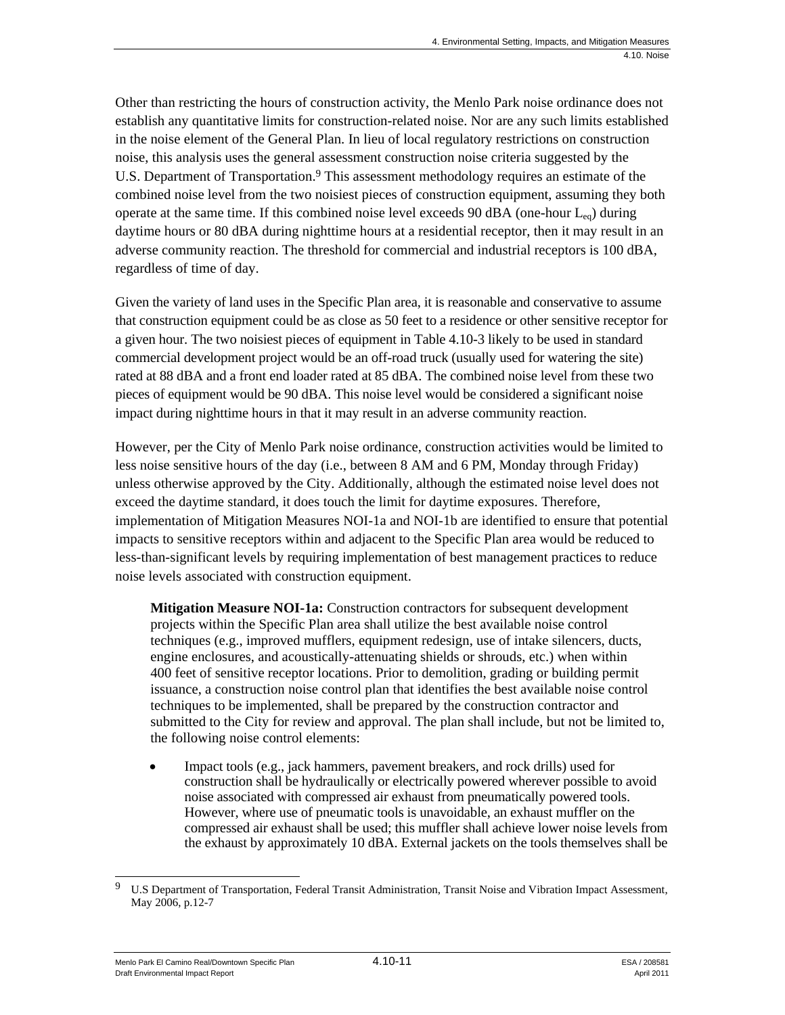Other than restricting the hours of construction activity, the Menlo Park noise ordinance does not establish any quantitative limits for construction-related noise. Nor are any such limits established in the noise element of the General Plan. In lieu of local regulatory restrictions on construction noise, this analysis uses the general assessment construction noise criteria suggested by the U.S. Department of Transportation.<sup>9</sup> This assessment methodology requires an estimate of the combined noise level from the two noisiest pieces of construction equipment, assuming they both operate at the same time. If this combined noise level exceeds 90 dBA (one-hour  $L_{eq}$ ) during daytime hours or 80 dBA during nighttime hours at a residential receptor, then it may result in an adverse community reaction. The threshold for commercial and industrial receptors is 100 dBA, regardless of time of day.

Given the variety of land uses in the Specific Plan area, it is reasonable and conservative to assume that construction equipment could be as close as 50 feet to a residence or other sensitive receptor for a given hour. The two noisiest pieces of equipment in Table 4.10-3 likely to be used in standard commercial development project would be an off-road truck (usually used for watering the site) rated at 88 dBA and a front end loader rated at 85 dBA. The combined noise level from these two pieces of equipment would be 90 dBA. This noise level would be considered a significant noise impact during nighttime hours in that it may result in an adverse community reaction.

However, per the City of Menlo Park noise ordinance, construction activities would be limited to less noise sensitive hours of the day (i.e., between 8 AM and 6 PM, Monday through Friday) unless otherwise approved by the City. Additionally, although the estimated noise level does not exceed the daytime standard, it does touch the limit for daytime exposures. Therefore, implementation of Mitigation Measures NOI-1a and NOI-1b are identified to ensure that potential impacts to sensitive receptors within and adjacent to the Specific Plan area would be reduced to less-than-significant levels by requiring implementation of best management practices to reduce noise levels associated with construction equipment.

**Mitigation Measure NOI-1a:** Construction contractors for subsequent development projects within the Specific Plan area shall utilize the best available noise control techniques (e.g., improved mufflers, equipment redesign, use of intake silencers, ducts, engine enclosures, and acoustically-attenuating shields or shrouds, etc.) when within 400 feet of sensitive receptor locations. Prior to demolition, grading or building permit issuance, a construction noise control plan that identifies the best available noise control techniques to be implemented, shall be prepared by the construction contractor and submitted to the City for review and approval. The plan shall include, but not be limited to, the following noise control elements:

 Impact tools (e.g., jack hammers, pavement breakers, and rock drills) used for construction shall be hydraulically or electrically powered wherever possible to avoid noise associated with compressed air exhaust from pneumatically powered tools. However, where use of pneumatic tools is unavoidable, an exhaust muffler on the compressed air exhaust shall be used; this muffler shall achieve lower noise levels from the exhaust by approximately 10 dBA. External jackets on the tools themselves shall be

<sup>1</sup> 9 U.S Department of Transportation, Federal Transit Administration, Transit Noise and Vibration Impact Assessment, May 2006, p.12-7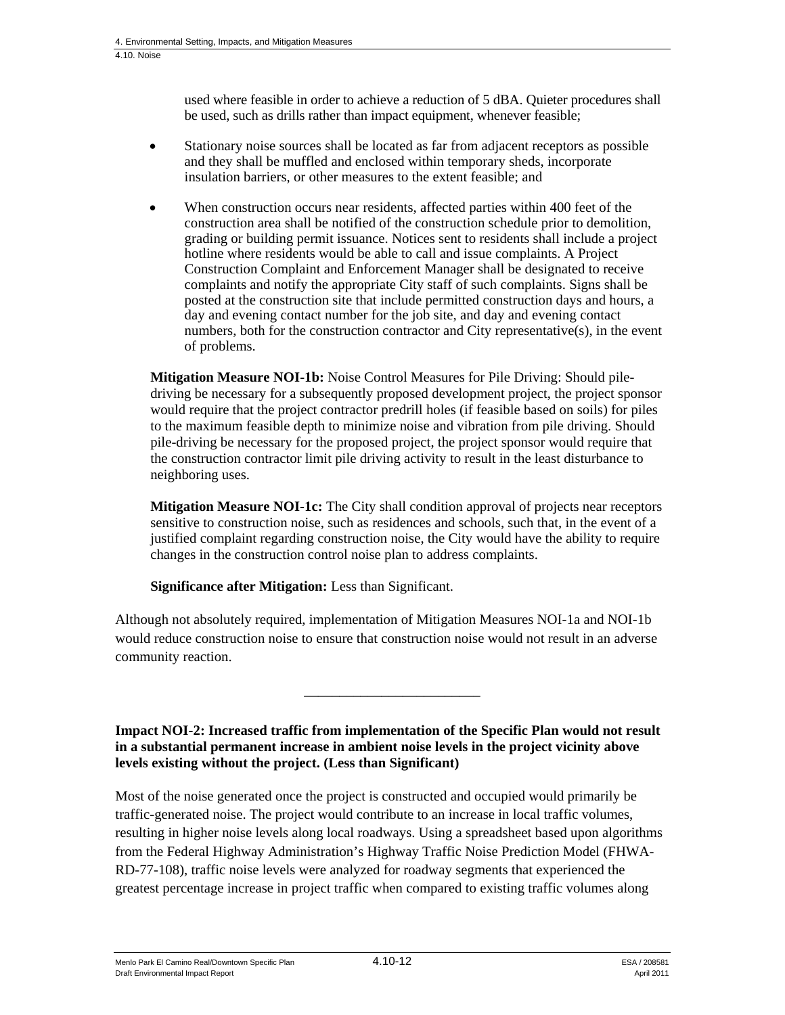used where feasible in order to achieve a reduction of 5 dBA. Quieter procedures shall be used, such as drills rather than impact equipment, whenever feasible;

- Stationary noise sources shall be located as far from adjacent receptors as possible and they shall be muffled and enclosed within temporary sheds, incorporate insulation barriers, or other measures to the extent feasible; and
- When construction occurs near residents, affected parties within 400 feet of the construction area shall be notified of the construction schedule prior to demolition, grading or building permit issuance. Notices sent to residents shall include a project hotline where residents would be able to call and issue complaints. A Project Construction Complaint and Enforcement Manager shall be designated to receive complaints and notify the appropriate City staff of such complaints. Signs shall be posted at the construction site that include permitted construction days and hours, a day and evening contact number for the job site, and day and evening contact numbers, both for the construction contractor and City representative(s), in the event of problems.

**Mitigation Measure NOI-1b:** Noise Control Measures for Pile Driving: Should piledriving be necessary for a subsequently proposed development project, the project sponsor would require that the project contractor predrill holes (if feasible based on soils) for piles to the maximum feasible depth to minimize noise and vibration from pile driving. Should pile-driving be necessary for the proposed project, the project sponsor would require that the construction contractor limit pile driving activity to result in the least disturbance to neighboring uses.

**Mitigation Measure NOI-1c:** The City shall condition approval of projects near receptors sensitive to construction noise, such as residences and schools, such that, in the event of a justified complaint regarding construction noise, the City would have the ability to require changes in the construction control noise plan to address complaints.

**Significance after Mitigation:** Less than Significant.

Although not absolutely required, implementation of Mitigation Measures NOI-1a and NOI-1b would reduce construction noise to ensure that construction noise would not result in an adverse community reaction.

**Impact NOI-2: Increased traffic from implementation of the Specific Plan would not result in a substantial permanent increase in ambient noise levels in the project vicinity above levels existing without the project. (Less than Significant)** 

\_\_\_\_\_\_\_\_\_\_\_\_\_\_\_\_\_\_\_\_\_\_\_\_\_

Most of the noise generated once the project is constructed and occupied would primarily be traffic-generated noise. The project would contribute to an increase in local traffic volumes, resulting in higher noise levels along local roadways. Using a spreadsheet based upon algorithms from the Federal Highway Administration's Highway Traffic Noise Prediction Model (FHWA-RD-77-108), traffic noise levels were analyzed for roadway segments that experienced the greatest percentage increase in project traffic when compared to existing traffic volumes along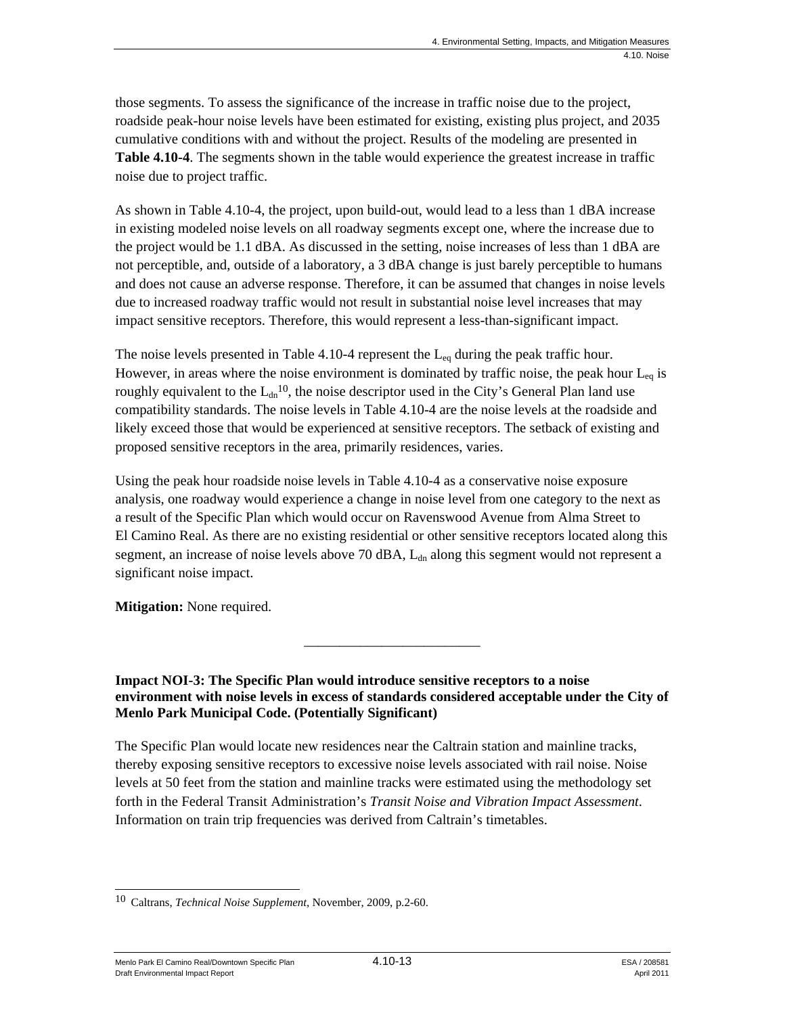those segments. To assess the significance of the increase in traffic noise due to the project, roadside peak-hour noise levels have been estimated for existing, existing plus project, and 2035 cumulative conditions with and without the project. Results of the modeling are presented in **Table 4.10-4**. The segments shown in the table would experience the greatest increase in traffic noise due to project traffic.

As shown in Table 4.10-4, the project, upon build-out, would lead to a less than 1 dBA increase in existing modeled noise levels on all roadway segments except one, where the increase due to the project would be 1.1 dBA. As discussed in the setting, noise increases of less than 1 dBA are not perceptible, and, outside of a laboratory, a 3 dBA change is just barely perceptible to humans and does not cause an adverse response. Therefore, it can be assumed that changes in noise levels due to increased roadway traffic would not result in substantial noise level increases that may impact sensitive receptors. Therefore, this would represent a less-than-significant impact.

The noise levels presented in Table 4.10-4 represent the  $L_{eq}$  during the peak traffic hour. However, in areas where the noise environment is dominated by traffic noise, the peak hour  $L_{eq}$  is roughly equivalent to the  $L_{dn}^{10}$ , the noise descriptor used in the City's General Plan land use compatibility standards. The noise levels in Table 4.10-4 are the noise levels at the roadside and likely exceed those that would be experienced at sensitive receptors. The setback of existing and proposed sensitive receptors in the area, primarily residences, varies.

Using the peak hour roadside noise levels in Table 4.10-4 as a conservative noise exposure analysis, one roadway would experience a change in noise level from one category to the next as a result of the Specific Plan which would occur on Ravenswood Avenue from Alma Street to El Camino Real. As there are no existing residential or other sensitive receptors located along this segment, an increase of noise levels above 70 dBA, L<sub>dn</sub> along this segment would not represent a significant noise impact.

**Mitigation:** None required.

**Impact NOI-3: The Specific Plan would introduce sensitive receptors to a noise environment with noise levels in excess of standards considered acceptable under the City of Menlo Park Municipal Code. (Potentially Significant)** 

\_\_\_\_\_\_\_\_\_\_\_\_\_\_\_\_\_\_\_\_\_\_\_\_\_

The Specific Plan would locate new residences near the Caltrain station and mainline tracks, thereby exposing sensitive receptors to excessive noise levels associated with rail noise. Noise levels at 50 feet from the station and mainline tracks were estimated using the methodology set forth in the Federal Transit Administration's *Transit Noise and Vibration Impact Assessment*. Information on train trip frequencies was derived from Caltrain's timetables.

Menlo Park El Camino Real/Downtown Specific Plan  $4.10-13$  And  $4.10-13$  ESA / 208581 Draft Environmental Impact Report April 2011

<sup>1</sup> 10 Caltrans, *Technical Noise Supplement*, November, 2009, p.2-60.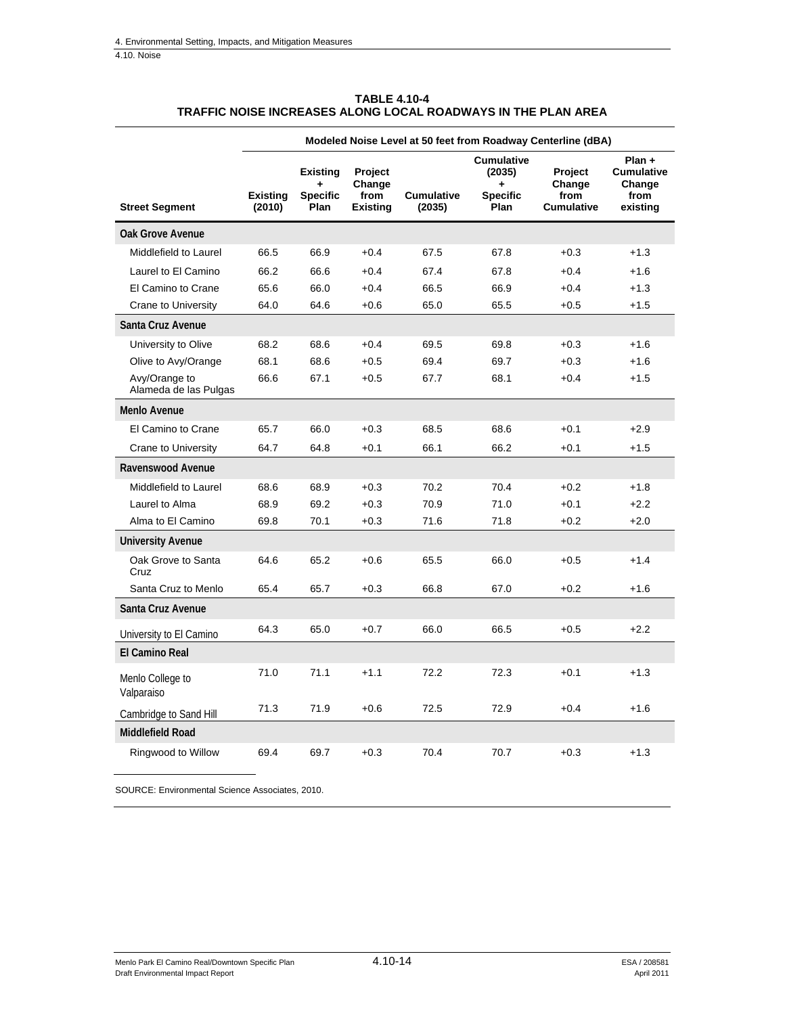4.10. Noise

|                                        | Modeled Noise Level at 50 feet from Roadway Centerline (dBA) |                                                 |                                              |                             |                                                             |                                                |                                                           |
|----------------------------------------|--------------------------------------------------------------|-------------------------------------------------|----------------------------------------------|-----------------------------|-------------------------------------------------------------|------------------------------------------------|-----------------------------------------------------------|
| <b>Street Segment</b>                  | <b>Existing</b><br>(2010)                                    | <b>Existing</b><br>÷<br><b>Specific</b><br>Plan | Project<br>Change<br>from<br><b>Existing</b> | <b>Cumulative</b><br>(2035) | <b>Cumulative</b><br>(2035)<br>÷<br><b>Specific</b><br>Plan | Project<br>Change<br>from<br><b>Cumulative</b> | Plan +<br><b>Cumulative</b><br>Change<br>from<br>existing |
| <b>Oak Grove Avenue</b>                |                                                              |                                                 |                                              |                             |                                                             |                                                |                                                           |
| Middlefield to Laurel                  | 66.5                                                         | 66.9                                            | $+0.4$                                       | 67.5                        | 67.8                                                        | $+0.3$                                         | $+1.3$                                                    |
| Laurel to El Camino                    | 66.2                                                         | 66.6                                            | $+0.4$                                       | 67.4                        | 67.8                                                        | $+0.4$                                         | $+1.6$                                                    |
| El Camino to Crane                     | 65.6                                                         | 66.0                                            | $+0.4$                                       | 66.5                        | 66.9                                                        | $+0.4$                                         | $+1.3$                                                    |
| <b>Crane to University</b>             | 64.0                                                         | 64.6                                            | $+0.6$                                       | 65.0                        | 65.5                                                        | $+0.5$                                         | $+1.5$                                                    |
| Santa Cruz Avenue                      |                                                              |                                                 |                                              |                             |                                                             |                                                |                                                           |
| University to Olive                    | 68.2                                                         | 68.6                                            | $+0.4$                                       | 69.5                        | 69.8                                                        | $+0.3$                                         | $+1.6$                                                    |
| Olive to Avy/Orange                    | 68.1                                                         | 68.6                                            | $+0.5$                                       | 69.4                        | 69.7                                                        | $+0.3$                                         | $+1.6$                                                    |
| Avy/Orange to<br>Alameda de las Pulgas | 66.6                                                         | 67.1                                            | $+0.5$                                       | 67.7                        | 68.1                                                        | $+0.4$                                         | $+1.5$                                                    |
| <b>Menlo Avenue</b>                    |                                                              |                                                 |                                              |                             |                                                             |                                                |                                                           |
| El Camino to Crane                     | 65.7                                                         | 66.0                                            | $+0.3$                                       | 68.5                        | 68.6                                                        | $+0.1$                                         | $+2.9$                                                    |
| <b>Crane to University</b>             | 64.7                                                         | 64.8                                            | $+0.1$                                       | 66.1                        | 66.2                                                        | $+0.1$                                         | $+1.5$                                                    |
| Ravenswood Avenue                      |                                                              |                                                 |                                              |                             |                                                             |                                                |                                                           |
| Middlefield to Laurel                  | 68.6                                                         | 68.9                                            | $+0.3$                                       | 70.2                        | 70.4                                                        | $+0.2$                                         | $+1.8$                                                    |
| Laurel to Alma                         | 68.9                                                         | 69.2                                            | $+0.3$                                       | 70.9                        | 71.0                                                        | $+0.1$                                         | $+2.2$                                                    |
| Alma to El Camino                      | 69.8                                                         | 70.1                                            | $+0.3$                                       | 71.6                        | 71.8                                                        | $+0.2$                                         | $+2.0$                                                    |
| <b>University Avenue</b>               |                                                              |                                                 |                                              |                             |                                                             |                                                |                                                           |
| Oak Grove to Santa<br>Cruz             | 64.6                                                         | 65.2                                            | $+0.6$                                       | 65.5                        | 66.0                                                        | $+0.5$                                         | $+1.4$                                                    |
| Santa Cruz to Menlo                    | 65.4                                                         | 65.7                                            | $+0.3$                                       | 66.8                        | 67.0                                                        | $+0.2$                                         | $+1.6$                                                    |
| Santa Cruz Avenue                      |                                                              |                                                 |                                              |                             |                                                             |                                                |                                                           |
| University to El Camino                | 64.3                                                         | 65.0                                            | $+0.7$                                       | 66.0                        | 66.5                                                        | $+0.5$                                         | $+2.2$                                                    |
| <b>El Camino Real</b>                  |                                                              |                                                 |                                              |                             |                                                             |                                                |                                                           |
| Menlo College to<br>Valparaiso         | 71.0                                                         | 71.1                                            | $+1.1$                                       | 72.2                        | 72.3                                                        | $+0.1$                                         | $+1.3$                                                    |
| Cambridge to Sand Hill                 | 71.3                                                         | 71.9                                            | $+0.6$                                       | 72.5                        | 72.9                                                        | $+0.4$                                         | $+1.6$                                                    |
| <b>Middlefield Road</b>                |                                                              |                                                 |                                              |                             |                                                             |                                                |                                                           |
| Ringwood to Willow                     | 69.4                                                         | 69.7                                            | $+0.3$                                       | 70.4                        | 70.7                                                        | $+0.3$                                         | $+1.3$                                                    |

| <b>TABLE 4.10-4</b>                                           |
|---------------------------------------------------------------|
| TRAFFIC NOISE INCREASES ALONG LOCAL ROADWAYS IN THE PLAN AREA |

SOURCE: Environmental Science Associates, 2010.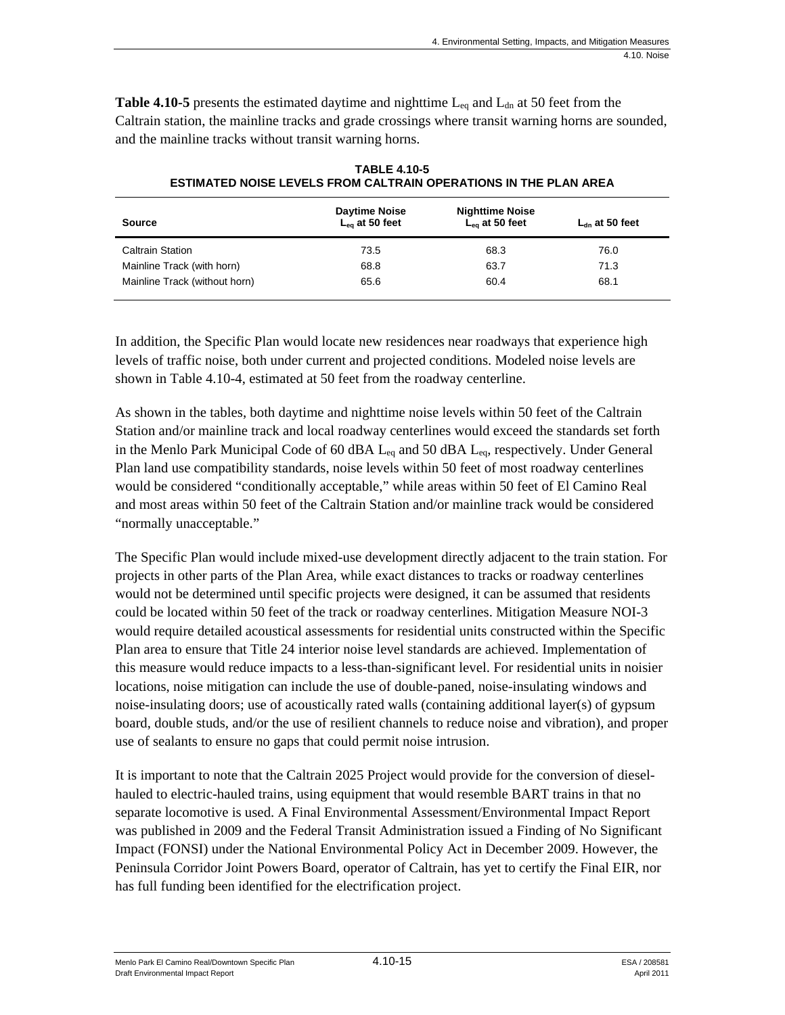**Table 4.10-5** presents the estimated daytime and nighttime  $L_{eq}$  and  $L_{dn}$  at 50 feet from the Caltrain station, the mainline tracks and grade crossings where transit warning horns are sounded, and the mainline tracks without transit warning horns.

| <b>Source</b>                 | <b>Daytime Noise</b><br>$L_{eq}$ at 50 feet | <b>Nighttime Noise</b><br>$L_{eq}$ at 50 feet | $L_{dn}$ at 50 feet |
|-------------------------------|---------------------------------------------|-----------------------------------------------|---------------------|
| <b>Caltrain Station</b>       | 73.5                                        | 68.3                                          | 76.0                |
| Mainline Track (with horn)    | 68.8                                        | 63.7                                          | 71.3                |
| Mainline Track (without horn) | 65.6                                        | 60.4                                          | 68.1                |

**TABLE 4.10-5 ESTIMATED NOISE LEVELS FROM CALTRAIN OPERATIONS IN THE PLAN AREA** 

In addition, the Specific Plan would locate new residences near roadways that experience high levels of traffic noise, both under current and projected conditions. Modeled noise levels are shown in Table 4.10-4, estimated at 50 feet from the roadway centerline.

As shown in the tables, both daytime and nighttime noise levels within 50 feet of the Caltrain Station and/or mainline track and local roadway centerlines would exceed the standards set forth in the Menlo Park Municipal Code of 60 dBA  $L_{eq}$  and 50 dBA  $L_{eq}$ , respectively. Under General Plan land use compatibility standards, noise levels within 50 feet of most roadway centerlines would be considered "conditionally acceptable," while areas within 50 feet of El Camino Real and most areas within 50 feet of the Caltrain Station and/or mainline track would be considered "normally unacceptable."

The Specific Plan would include mixed-use development directly adjacent to the train station. For projects in other parts of the Plan Area, while exact distances to tracks or roadway centerlines would not be determined until specific projects were designed, it can be assumed that residents could be located within 50 feet of the track or roadway centerlines. Mitigation Measure NOI-3 would require detailed acoustical assessments for residential units constructed within the Specific Plan area to ensure that Title 24 interior noise level standards are achieved. Implementation of this measure would reduce impacts to a less-than-significant level. For residential units in noisier locations, noise mitigation can include the use of double-paned, noise-insulating windows and noise-insulating doors; use of acoustically rated walls (containing additional layer(s) of gypsum board, double studs, and/or the use of resilient channels to reduce noise and vibration), and proper use of sealants to ensure no gaps that could permit noise intrusion.

It is important to note that the Caltrain 2025 Project would provide for the conversion of dieselhauled to electric-hauled trains, using equipment that would resemble BART trains in that no separate locomotive is used. A Final Environmental Assessment/Environmental Impact Report was published in 2009 and the Federal Transit Administration issued a Finding of No Significant Impact (FONSI) under the National Environmental Policy Act in December 2009. However, the Peninsula Corridor Joint Powers Board, operator of Caltrain, has yet to certify the Final EIR, nor has full funding been identified for the electrification project.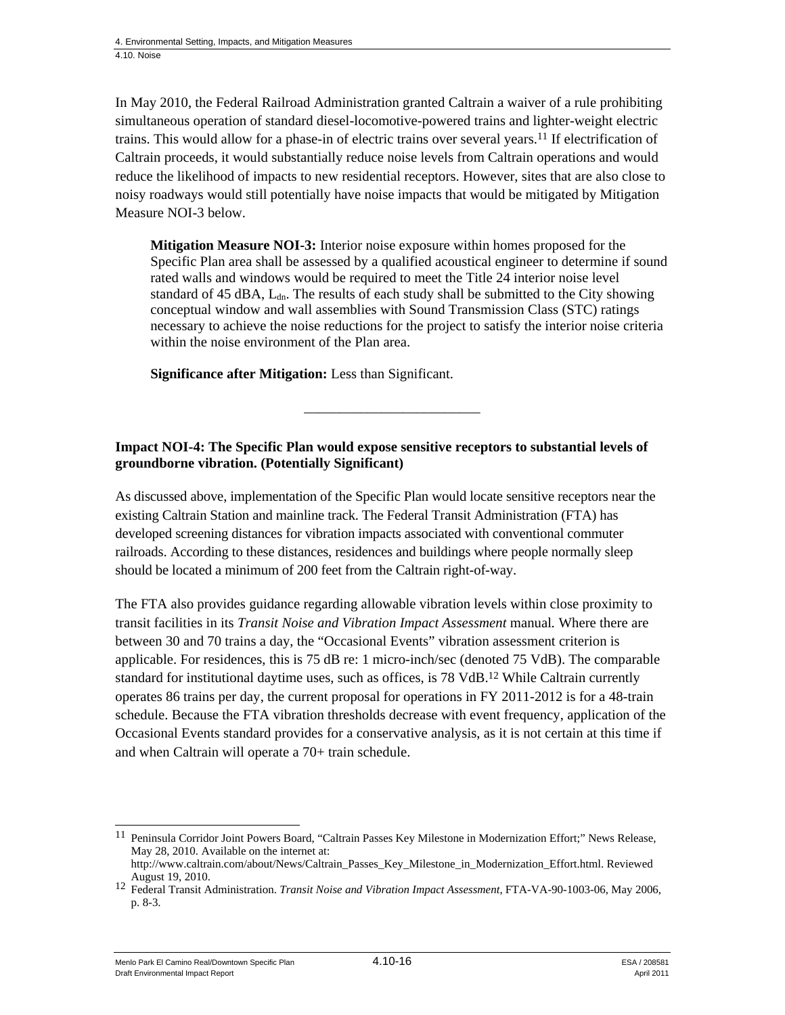In May 2010, the Federal Railroad Administration granted Caltrain a waiver of a rule prohibiting simultaneous operation of standard diesel-locomotive-powered trains and lighter-weight electric trains. This would allow for a phase-in of electric trains over several years.11 If electrification of Caltrain proceeds, it would substantially reduce noise levels from Caltrain operations and would reduce the likelihood of impacts to new residential receptors. However, sites that are also close to noisy roadways would still potentially have noise impacts that would be mitigated by Mitigation Measure NOI-3 below.

**Mitigation Measure NOI-3:** Interior noise exposure within homes proposed for the Specific Plan area shall be assessed by a qualified acoustical engineer to determine if sound rated walls and windows would be required to meet the Title 24 interior noise level standard of 45 dBA,  $L_{dn}$ . The results of each study shall be submitted to the City showing conceptual window and wall assemblies with Sound Transmission Class (STC) ratings necessary to achieve the noise reductions for the project to satisfy the interior noise criteria within the noise environment of the Plan area.

**Significance after Mitigation:** Less than Significant.

#### **Impact NOI-4: The Specific Plan would expose sensitive receptors to substantial levels of groundborne vibration. (Potentially Significant)**

\_\_\_\_\_\_\_\_\_\_\_\_\_\_\_\_\_\_\_\_\_\_\_\_\_

As discussed above, implementation of the Specific Plan would locate sensitive receptors near the existing Caltrain Station and mainline track. The Federal Transit Administration (FTA) has developed screening distances for vibration impacts associated with conventional commuter railroads. According to these distances, residences and buildings where people normally sleep should be located a minimum of 200 feet from the Caltrain right-of-way.

The FTA also provides guidance regarding allowable vibration levels within close proximity to transit facilities in its *Transit Noise and Vibration Impact Assessment* manual*.* Where there are between 30 and 70 trains a day, the "Occasional Events" vibration assessment criterion is applicable. For residences, this is 75 dB re: 1 micro-inch/sec (denoted 75 VdB). The comparable standard for institutional daytime uses, such as offices, is 78 VdB.<sup>12</sup> While Caltrain currently operates 86 trains per day, the current proposal for operations in FY 2011-2012 is for a 48-train schedule. Because the FTA vibration thresholds decrease with event frequency, application of the Occasional Events standard provides for a conservative analysis, as it is not certain at this time if and when Caltrain will operate a 70+ train schedule.

Menlo Park El Camino Real/Downtown Specific Plan  $4.10-16$   $4.10-16$  ESA / 208581 Draft Environmental Impact Report April 2011

 $\overline{\phantom{a}}$ <sup>11</sup> Peninsula Corridor Joint Powers Board, "Caltrain Passes Key Milestone in Modernization Effort;" News Release, May 28, 2010. Available on the internet at:

http://www.caltrain.com/about/News/Caltrain\_Passes\_Key\_Milestone\_in\_Modernization\_Effort.html. Reviewed

August 19, 2010. 12 Federal Transit Administration. *Transit Noise and Vibration Impact Assessment*, FTA-VA-90-1003-06, May 2006, p. 8-3.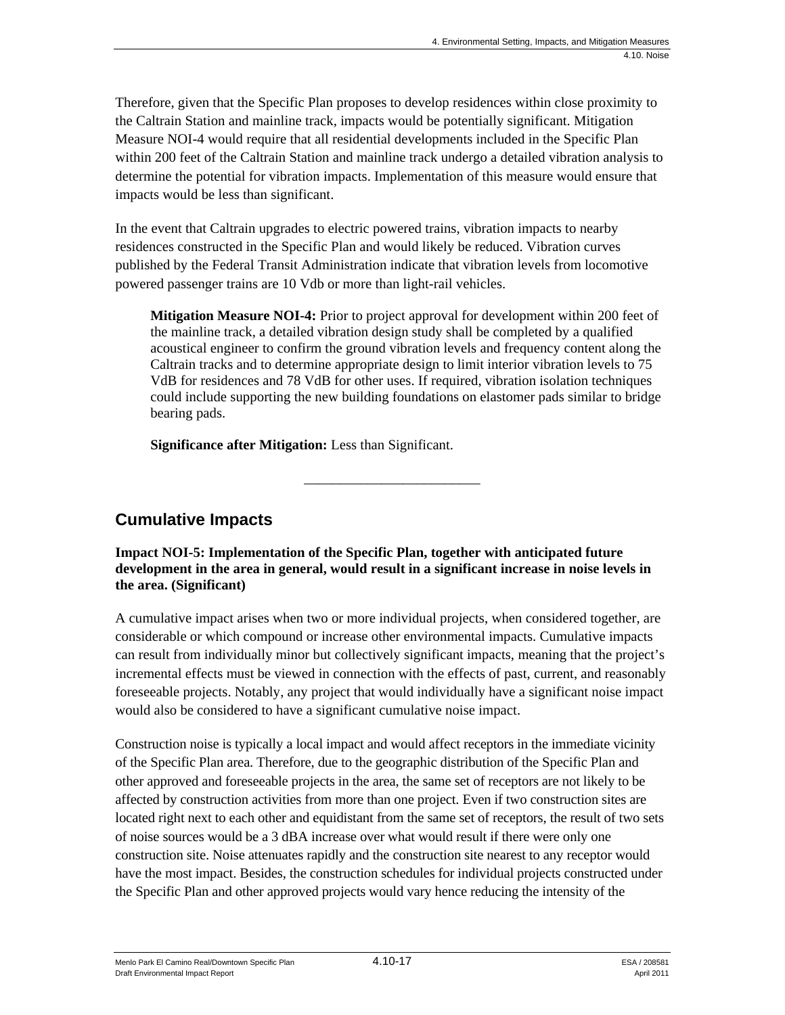Therefore, given that the Specific Plan proposes to develop residences within close proximity to the Caltrain Station and mainline track, impacts would be potentially significant. Mitigation Measure NOI-4 would require that all residential developments included in the Specific Plan within 200 feet of the Caltrain Station and mainline track undergo a detailed vibration analysis to determine the potential for vibration impacts. Implementation of this measure would ensure that impacts would be less than significant.

In the event that Caltrain upgrades to electric powered trains, vibration impacts to nearby residences constructed in the Specific Plan and would likely be reduced. Vibration curves published by the Federal Transit Administration indicate that vibration levels from locomotive powered passenger trains are 10 Vdb or more than light-rail vehicles.

**Mitigation Measure NOI-4:** Prior to project approval for development within 200 feet of the mainline track, a detailed vibration design study shall be completed by a qualified acoustical engineer to confirm the ground vibration levels and frequency content along the Caltrain tracks and to determine appropriate design to limit interior vibration levels to 75 VdB for residences and 78 VdB for other uses. If required, vibration isolation techniques could include supporting the new building foundations on elastomer pads similar to bridge bearing pads.

**Significance after Mitigation:** Less than Significant.

### **Cumulative Impacts**

**Impact NOI-5: Implementation of the Specific Plan, together with anticipated future development in the area in general, would result in a significant increase in noise levels in the area. (Significant)** 

\_\_\_\_\_\_\_\_\_\_\_\_\_\_\_\_\_\_\_\_\_\_\_\_\_

A cumulative impact arises when two or more individual projects, when considered together, are considerable or which compound or increase other environmental impacts. Cumulative impacts can result from individually minor but collectively significant impacts, meaning that the project's incremental effects must be viewed in connection with the effects of past, current, and reasonably foreseeable projects. Notably, any project that would individually have a significant noise impact would also be considered to have a significant cumulative noise impact.

Construction noise is typically a local impact and would affect receptors in the immediate vicinity of the Specific Plan area. Therefore, due to the geographic distribution of the Specific Plan and other approved and foreseeable projects in the area, the same set of receptors are not likely to be affected by construction activities from more than one project. Even if two construction sites are located right next to each other and equidistant from the same set of receptors, the result of two sets of noise sources would be a 3 dBA increase over what would result if there were only one construction site. Noise attenuates rapidly and the construction site nearest to any receptor would have the most impact. Besides, the construction schedules for individual projects constructed under the Specific Plan and other approved projects would vary hence reducing the intensity of the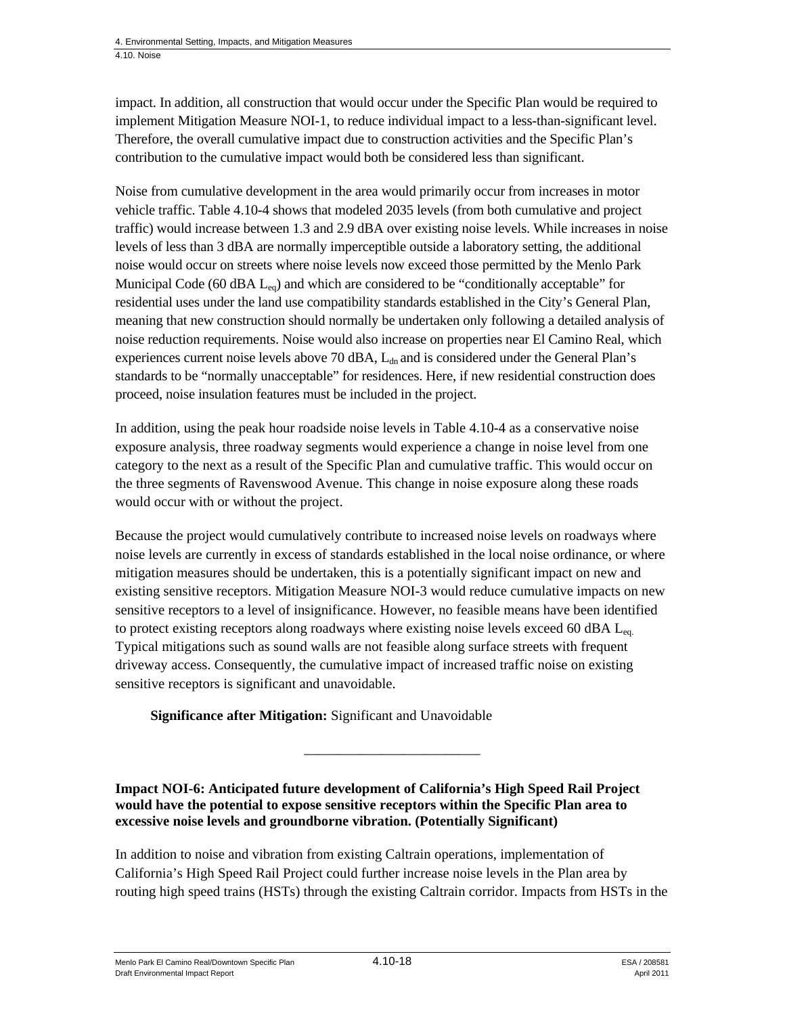impact. In addition, all construction that would occur under the Specific Plan would be required to implement Mitigation Measure NOI-1, to reduce individual impact to a less-than-significant level. Therefore, the overall cumulative impact due to construction activities and the Specific Plan's contribution to the cumulative impact would both be considered less than significant.

Noise from cumulative development in the area would primarily occur from increases in motor vehicle traffic. Table 4.10-4 shows that modeled 2035 levels (from both cumulative and project traffic) would increase between 1.3 and 2.9 dBA over existing noise levels. While increases in noise levels of less than 3 dBA are normally imperceptible outside a laboratory setting, the additional noise would occur on streets where noise levels now exceed those permitted by the Menlo Park Municipal Code (60 dBA  $L_{eq}$ ) and which are considered to be "conditionally acceptable" for residential uses under the land use compatibility standards established in the City's General Plan, meaning that new construction should normally be undertaken only following a detailed analysis of noise reduction requirements. Noise would also increase on properties near El Camino Real, which experiences current noise levels above 70 dBA,  $L_{dn}$  and is considered under the General Plan's standards to be "normally unacceptable" for residences. Here, if new residential construction does proceed, noise insulation features must be included in the project.

In addition, using the peak hour roadside noise levels in Table 4.10-4 as a conservative noise exposure analysis, three roadway segments would experience a change in noise level from one category to the next as a result of the Specific Plan and cumulative traffic. This would occur on the three segments of Ravenswood Avenue. This change in noise exposure along these roads would occur with or without the project.

Because the project would cumulatively contribute to increased noise levels on roadways where noise levels are currently in excess of standards established in the local noise ordinance, or where mitigation measures should be undertaken, this is a potentially significant impact on new and existing sensitive receptors. Mitigation Measure NOI-3 would reduce cumulative impacts on new sensitive receptors to a level of insignificance. However, no feasible means have been identified to protect existing receptors along roadways where existing noise levels exceed 60 dBA  $L_{eq}$ . Typical mitigations such as sound walls are not feasible along surface streets with frequent driveway access. Consequently, the cumulative impact of increased traffic noise on existing sensitive receptors is significant and unavoidable.

**Significance after Mitigation:** Significant and Unavoidable

**Impact NOI-6: Anticipated future development of California's High Speed Rail Project would have the potential to expose sensitive receptors within the Specific Plan area to excessive noise levels and groundborne vibration. (Potentially Significant)** 

In addition to noise and vibration from existing Caltrain operations, implementation of California's High Speed Rail Project could further increase noise levels in the Plan area by routing high speed trains (HSTs) through the existing Caltrain corridor. Impacts from HSTs in the

\_\_\_\_\_\_\_\_\_\_\_\_\_\_\_\_\_\_\_\_\_\_\_\_\_